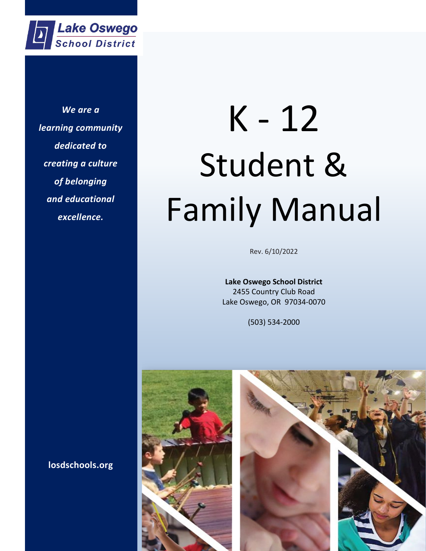

*To be an inclusive and safe learning community with challenging opportunities that develop We are a learning community dedicated to creating a culture of belonging and educational excellence.*

# K - 12 Student & Family Manual

Rev. 6/10/2022

**Lake Oswego School District** 2455 Country Club Road Lake Oswego, OR 97034-0070

(503) 534-2000





**losdschools.org**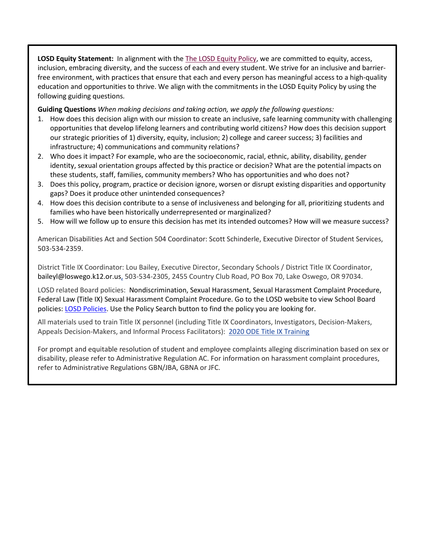**LOSD Equity Statement:** In alignment with the [The LOSD](https://docs.google.com/viewerng/viewer?url=https%3A%2F%2Fwww.losdschools.org%2F%2Fcms%2Flib%2FOR01813384%2FCentricity%2FDomain%2F1783%2FGCCB_GDCB_IKAAA%206-2019.pdf&urp=gmail_link) Equity Policy, we are committed to equity, access, inclusion, embracing diversity, and the success of each and every student. We strive for an inclusive and barrierfree environment, with practices that ensure that each and every person has meaningful access to a high-quality education and opportunities to thrive. We align with the commitments in the LOSD Equity Policy by using the following guiding questions.

**Guiding Questions** *When making decisions and taking action, we apply the following questions:*

- 1. How does this decision align with our mission to create an inclusive, safe learning community with challenging opportunities that develop lifelong learners and contributing world citizens? How does this decision support our strategic priorities of 1) diversity, equity, inclusion; 2) college and career success; 3) facilities and infrastructure; 4) communications and community relations?
- 2. Who does it impact? For example, who are the socioeconomic, racial, ethnic, ability, disability, gender identity, sexual orientation groups affected by this practice or decision? What are the potential impacts on these students, staff, families, community members? Who has opportunities and who does not?
- 3. Does this policy, program, practice or decision ignore, worsen or disrupt existing disparities and opportunity gaps? Does it produce other unintended consequences?
- 4. How does this decision contribute to a sense of inclusiveness and belonging for all, prioritizing students and families who have been historically underrepresented or marginalized?
- 5. How will we follow up to ensure this decision has met its intended outcomes? How will we measure success?

American Disabilities Act and Section 504 Coordinator: Scott Schinderle, Executive Director of Student Services, 503-534-2359.

District Title IX Coordinator: Lou Bailey, Executive Director, Secondary Schools / District Title IX Coordinator, baileyl@loswego.k12.or.us, 503-534-2305, 2455 Country Club Road, PO Box 70, Lake Oswego, OR 97034.

LOSD related Board policies: Nondiscrimination, Sexual Harassment, Sexual Harassment Complaint Procedure, Federal Law (Title IX) Sexual Harassment Complaint Procedure. Go to the LOSD website to view School Board policies: [LOSD Policies.](https://policy.osba.org/loswego/) Use the Policy Search button to find the policy you are looking for.

All materials used to train Title IX personnel (including Title IX Coordinators, Investigators, Decision-Makers, Appeals Decision-Makers, and Informal Process Facilitators): [2020 ODE Title IX Training](https://drive.google.com/file/d/1uds7H84qCWTmzsNyefvc17Wi0Q_BAAyd/view?usp=sharing)

For prompt and equitable resolution of student and employee complaints alleging discrimination based on sex or disability, please refer to Administrative Regulation AC. For information on harassment complaint procedures, refer to Administrative Regulations GBN/JBA, GBNA or JFC.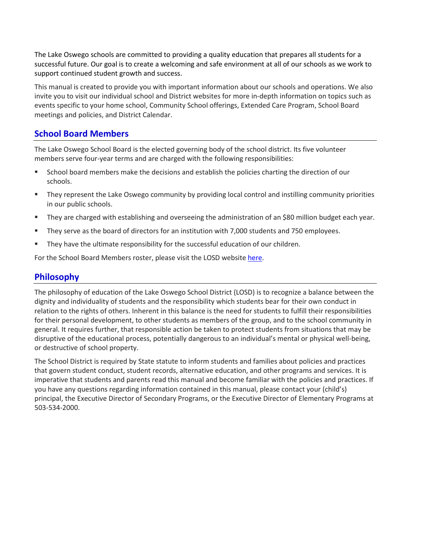The Lake Oswego schools are committed to providing a quality education that prepares all students for a successful future. Our goal is to create a welcoming and safe environment at all of our schools as we work to support continued student growth and success.

This manual is created to provide you with important information about our schools and operations. We also invite you to visit our individual school and District websites for more in-depth information on topics such as events specific to your home school, Community School offerings, Extended Care Program, School Board meetings and policies, and District Calendar.

# **School Board Members**

The Lake Oswego School Board is the elected governing body of the school district. Its five volunteer members serve four-year terms and are charged with the following responsibilities:

- School board members make the decisions and establish the policies charting the direction of our schools.
- **They represent the Lake Oswego community by providing local control and instilling community priorities** in our public schools.
- They are charged with establishing and overseeing the administration of an \$80 million budget each year.
- They serve as the board of directors for an institution with 7,000 students and 750 employees.
- They have the ultimate responsibility for the successful education of our children.

For the School Board Members roster, please visit the LOSD website [here.](https://www.losdschools.org/domain/37)

#### **Philosophy**

The philosophy of education of the Lake Oswego School District (LOSD) is to recognize a balance between the dignity and individuality of students and the responsibility which students bear for their own conduct in relation to the rights of others. Inherent in this balance is the need for students to fulfill their responsibilities for their personal development, to other students as members of the group, and to the school community in general. It requires further, that responsible action be taken to protect students from situations that may be disruptive of the educational process, potentially dangerous to an individual's mental or physical well-being, or destructive of school property.

The School District is required by State statute to inform students and families about policies and practices that govern student conduct, student records, alternative education, and other programs and services. It is imperative that students and parents read this manual and become familiar with the policies and practices. If you have any questions regarding information contained in this manual, please contact your (child's) principal, the Executive Director of Secondary Programs, or the Executive Director of Elementary Programs at 503-534-2000.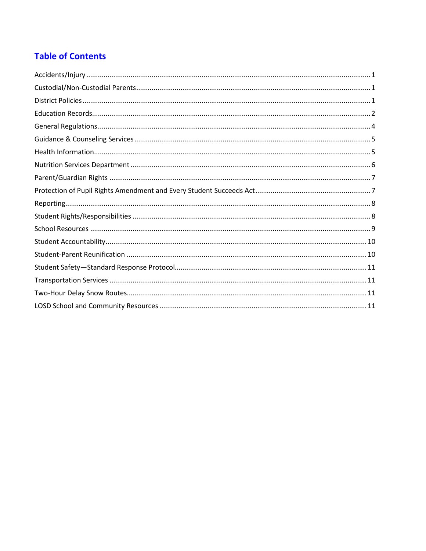# **Table of Contents**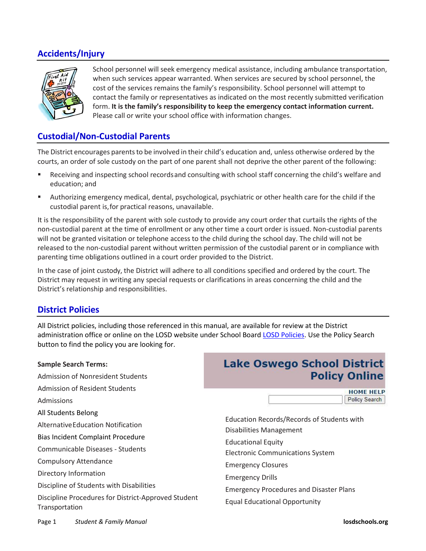# <span id="page-4-0"></span>**Accidents/Injury**



School personnel will seek emergency medical assistance, including ambulance transportation, when such services appear warranted. When services are secured by school personnel, the cost of the services remains the family's responsibility. School personnel will attempt to contact the family or representatives as indicated on the most recently submitted verification form. **It is the family's responsibility to keep the emergency contact information current.** Please call or write your school office with information changes.

## <span id="page-4-1"></span>**Custodial/Non-Custodial Parents**

The District encourages parents to be involved in their child's education and, unless otherwise ordered by the courts, an order of sole custody on the part of one parent shall not deprive the other parent of the following:

- Receiving and inspecting school recordsand consulting with school staff concerning the child's welfare and education; and
- Authorizing emergency medical, dental, psychological, psychiatric or other health care for the child if the custodial parent is,for practical reasons, unavailable.

It is the responsibility of the parent with sole custody to provide any court order that curtails the rights of the non-custodial parent at the time of enrollment or any other time a court order is issued. Non-custodial parents will not be granted visitation or telephone access to the child during the school day. The child will not be released to the non-custodial parent without written permission of the custodial parent or in compliance with parenting time obligations outlined in a court order provided to the District.

In the case of joint custody, the District will adhere to all conditions specified and ordered by the court. The District may request in writing any special requests or clarifications in areas concerning the child and the District's relationship and responsibilities.

#### <span id="page-4-2"></span>**District Policies**

All District policies, including those referenced in this manual, are available for review at the District administration office or online on the LOSD website under School Board [LOSD Policies.](https://policy.osba.org/loswego/) Use the Policy Search button to find the policy you are looking for.

| <b>Sample Search Terms:</b>                         | <b>Lake Oswego School District</b>             |
|-----------------------------------------------------|------------------------------------------------|
| Admission of Nonresident Students                   | <b>Policy Online</b>                           |
| Admission of Resident Students                      | <b>HOME HELP</b>                               |
| Admissions                                          | <b>Policy Search</b>                           |
| All Students Belong                                 | Education Records/Records of Students with     |
| Alternative Education Notification                  | <b>Disabilities Management</b>                 |
| Bias Incident Complaint Procedure                   | <b>Educational Equity</b>                      |
| Communicable Diseases - Students                    | <b>Electronic Communications System</b>        |
| <b>Compulsory Attendance</b>                        | <b>Emergency Closures</b>                      |
| Directory Information                               | <b>Emergency Drills</b>                        |
| Discipline of Students with Disabilities            | <b>Emergency Procedures and Disaster Plans</b> |
| Discipline Procedures for District-Approved Student | <b>Equal Educational Opportunity</b>           |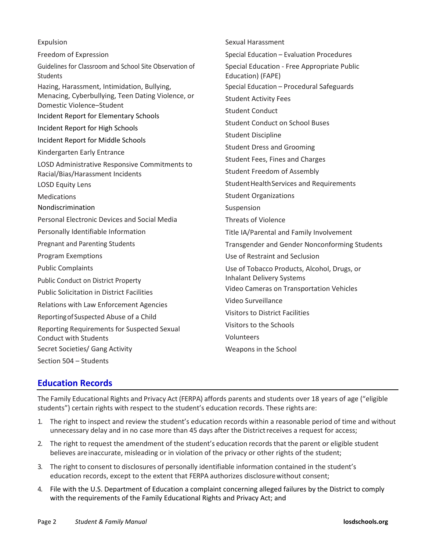| Expulsion                                                                      | Sexual Harassment                                                |
|--------------------------------------------------------------------------------|------------------------------------------------------------------|
| Freedom of Expression                                                          | Special Education - Evaluation Procedures                        |
| Guidelines for Classroom and School Site Observation of<br><b>Students</b>     | Special Education - Free Appropriate Public<br>Education) (FAPE) |
| Hazing, Harassment, Intimidation, Bullying,                                    | Special Education - Procedural Safeguards                        |
| Menacing, Cyberbullying, Teen Dating Violence, or<br>Domestic Violence-Student | <b>Student Activity Fees</b>                                     |
| <b>Incident Report for Elementary Schools</b>                                  | <b>Student Conduct</b>                                           |
| Incident Report for High Schools                                               | <b>Student Conduct on School Buses</b>                           |
| Incident Report for Middle Schools                                             | <b>Student Discipline</b>                                        |
| Kindergarten Early Entrance                                                    | <b>Student Dress and Grooming</b>                                |
| LOSD Administrative Responsive Commitments to                                  | Student Fees, Fines and Charges                                  |
| Racial/Bias/Harassment Incidents                                               | <b>Student Freedom of Assembly</b>                               |
| <b>LOSD Equity Lens</b>                                                        | Student Health Services and Requirements                         |
| <b>Medications</b>                                                             | <b>Student Organizations</b>                                     |
| Nondiscrimination                                                              | Suspension                                                       |
| <b>Personal Electronic Devices and Social Media</b>                            | <b>Threats of Violence</b>                                       |
| Personally Identifiable Information                                            | Title IA/Parental and Family Involvement                         |
| <b>Pregnant and Parenting Students</b>                                         | Transgender and Gender Nonconforming Students                    |
| <b>Program Exemptions</b>                                                      | Use of Restraint and Seclusion                                   |
| <b>Public Complaints</b>                                                       | Use of Tobacco Products, Alcohol, Drugs, or                      |
| <b>Public Conduct on District Property</b>                                     | <b>Inhalant Delivery Systems</b>                                 |
| <b>Public Solicitation in District Facilities</b>                              | Video Cameras on Transportation Vehicles                         |
| Relations with Law Enforcement Agencies                                        | Video Surveillance                                               |
| Reporting of Suspected Abuse of a Child                                        | <b>Visitors to District Facilities</b>                           |
| Reporting Requirements for Suspected Sexual                                    | Visitors to the Schools                                          |
| <b>Conduct with Students</b>                                                   | Volunteers                                                       |
| Secret Societies/ Gang Activity                                                | Weapons in the School                                            |
| Section 504 - Students                                                         |                                                                  |

#### <span id="page-5-0"></span>**Education Records**

The Family Educational Rights and Privacy Act (FERPA) affords parents and students over 18 years of age ("eligible students") certain rights with respect to the student's education records. These rights are:

- 1. The right to inspect and review the student's education records within a reasonable period of time and without unnecessary delay and in no case more than 45 days after the District receives a request for access;
- 2. The right to request the amendment of the student's education records that the parent or eligible student believes areinaccurate, misleading or in violation of the privacy or other rights of the student;
- 3. The right to consent to disclosures of personally identifiable information contained in the student's education records, except to the extent that FERPA authorizes disclosurewithout consent;
- 4. File with the U.S. Department of Education a complaint concerning alleged failures by the District to comply with the requirements of the Family Educational Rights and Privacy Act; and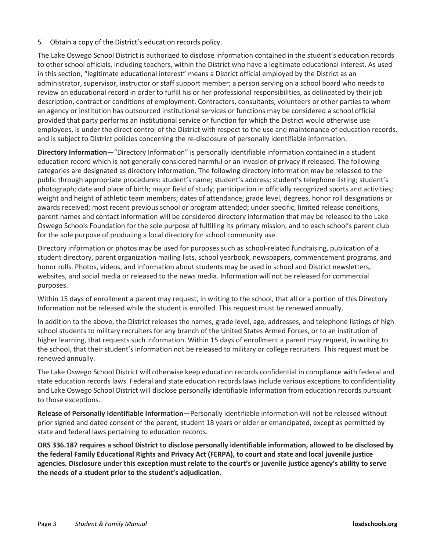#### 5. Obtain a copy of the District's education records policy.

The Lake Oswego School District is authorized to disclose information contained in the student's education records to other school officials, including teachers, within the District who have a legitimate educational interest. As used in this section, "legitimate educational interest" means a District official employed by the District as an administrator, supervisor, instructor or staff support member; a person serving on a school board who needs to review an educational record in order to fulfill his or her professional responsibilities, as delineated by their job description, contract or conditions of employment. Contractors, consultants, volunteers or other parties to whom an agency or institution has outsourced institutional services or functions may be considered a school official provided that party performs an institutional service or function for which the District would otherwise use employees, is under the direct control of the District with respect to the use and maintenance of education records, and is subject to District policies concerning the re-disclosure of personally identifiable information.

**Directory Information**—"Directory Information" is personally identifiable information contained in a student education record which is not generally considered harmful or an invasion of privacy if released. The following categories are designated as directory information. The following directory information may be released to the public through appropriate procedures: student's name; student's address; student's telephone listing; student's photograph; date and place of birth; major field of study; participation in officially recognized sports and activities; weight and height of athletic team members; dates of attendance; grade level, degrees, honor roll designations or awards received; most recent previous school or program attended; under specific, limited release conditions, parent names and contact information will be considered directory information that may be released to the Lake Oswego Schools Foundation for the sole purpose of fulfilling its primary mission, and to each school's parent club for the sole purpose of producing a local directory for school community use.

Directory information or photos may be used for purposes such as school-related fundraising, publication of a student directory, parent organization mailing lists, school yearbook, newspapers, commencement programs, and honor rolls. Photos, videos, and information about students may be used in school and District newsletters, websites, and social media or released to the news media. Information will not be released for commercial purposes.

Within 15 days of enrollment a parent may request, in writing to the school, that all or a portion of this Directory Information not be released while the student is enrolled. This request must be renewed annually.

In addition to the above, the District releases the names, grade level, age, addresses, and telephone listings of high school students to military recruiters for any branch of the United States Armed Forces, or to an institution of higher learning, that requests such information. Within 15 days of enrollment a parent may request, in writing to the school, that their student's information not be released to military or college recruiters. This request must be renewed annually.

The Lake Oswego School District will otherwise keep education records confidential in compliance with federal and state education records laws. Federal and state education records laws include various exceptions to confidentiality and Lake Oswego School District will disclose personally identifiable information from education records pursuant to those exceptions.

**Release of Personally Identifiable Information**—Personally identifiable information will not be released without prior signed and dated consent of the parent, student 18 years or older or emancipated, except as permitted by state and federal laws pertaining to education records.

**ORS 336.187 requires a school District to disclose personally identifiable information, allowed to be disclosed by the federal Family Educational Rights and Privacy Act (FERPA), to court and state and local juvenile justice agencies. Disclosure under this exception must relate to the court's or juvenile justice agency's ability to serve the needs of a student prior to the student's adjudication.**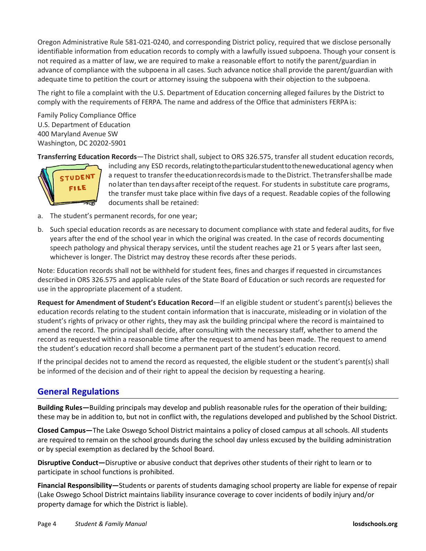Oregon Administrative Rule 581-021-0240, and corresponding District policy, required that we disclose personally identifiable information from education records to comply with a lawfully issued subpoena. Though your consent is not required as a matter of law, we are required to make a reasonable effort to notify the parent/guardian in advance of compliance with the subpoena in all cases. Such advance notice shall provide the parent/guardian with adequate time to petition the court or attorney issuing the subpoena with their objection to the subpoena.

The right to file a complaint with the U.S. Department of Education concerning alleged failures by the District to comply with the requirements of FERPA. The name and address of the Office that administers FERPA is:

Family Policy Compliance Office U.S. Department of Education 400 Maryland Avenue SW Washington, DC 20202-5901

**Transferring Education Records**—The District shall, subject to ORS 326.575, transfer all student education records,



including any ESD records, relating to the particular student to the new educational agency when a request to transfer the education records is made to the District. The transfer shall be made nolaterthan tendaysafter receiptofthe request. For students in substitute care programs, the transfer must take place within five days of a request. Readable copies of the following documents shall be retained:

- a. The student's permanent records, for one year;
- b. Such special education records as are necessary to document compliance with state and federal audits, for five years after the end of the school year in which the original was created. In the case of records documenting speech pathology and physical therapy services, until the student reaches age 21 or 5 years after last seen, whichever is longer. The District may destroy these records after these periods.

Note: Education records shall not be withheld for student fees, fines and charges if requested in circumstances described in ORS 326.575 and applicable rules of the State Board of Education or such records are requested for use in the appropriate placement of a student.

**Request for Amendment of Student's Education Record**—If an eligible student or student's parent(s) believes the education records relating to the student contain information that is inaccurate, misleading or in violation of the student's rights of privacy or other rights, they may ask the building principal where the record is maintained to amend the record. The principal shall decide, after consulting with the necessary staff, whether to amend the record as requested within a reasonable time after the request to amend has been made. The request to amend the student's education record shall become a permanent part of the student's education record.

If the principal decides not to amend the record as requested, the eligible student or the student's parent(s) shall be informed of the decision and of their right to appeal the decision by requesting a hearing.

#### <span id="page-7-0"></span>**General Regulations**

**Building Rules—**Building principals may develop and publish reasonable rules for the operation of their building; these may be in addition to, but not in conflict with, the regulations developed and published by the School District.

**Closed Campus—**The Lake Oswego School District maintains a policy of closed campus at all schools. All students are required to remain on the school grounds during the school day unless excused by the building administration or by special exemption as declared by the School Board.

**Disruptive Conduct—**Disruptive or abusive conduct that deprives other students of their right to learn or to participate in school functions is prohibited.

**Financial Responsibility—**Students or parents of students damaging school property are liable for expense of repair (Lake Oswego School District maintains liability insurance coverage to cover incidents of bodily injury and/or property damage for which the District is liable).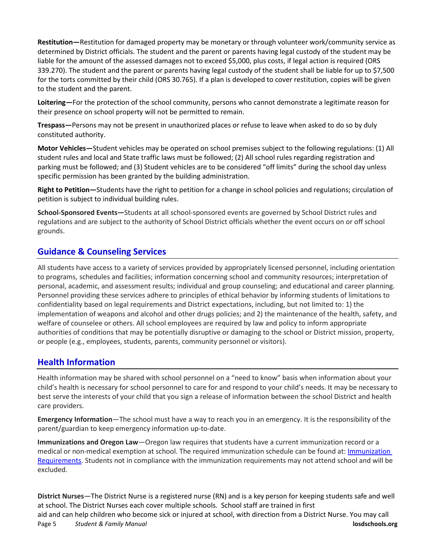**Restitution—**Restitution for damaged property may be monetary or through volunteer work/community service as determined by District officials. The student and the parent or parents having legal custody of the student may be liable for the amount of the assessed damages not to exceed \$5,000, plus costs, if legal action is required (ORS 339.270). The student and the parent or parents having legal custody of the student shall be liable for up to \$7,500 for the torts committed by their child (ORS 30.765). If a plan is developed to cover restitution, copies will be given to the student and the parent.

**Loitering—**For the protection of the school community, persons who cannot demonstrate a legitimate reason for their presence on school property will not be permitted to remain.

**Trespass—**Persons may not be present in unauthorized places or refuse to leave when asked to do so by duly constituted authority.

**Motor Vehicles—**Student vehicles may be operated on school premises subject to the following regulations: (1) All student rules and local and State traffic laws must be followed; (2) All school rules regarding registration and parking must be followed; and (3) Student vehicles are to be considered "off limits" during the school day unless specific permission has been granted by the building administration.

**Right to Petition—**Students have the right to petition for a change in school policies and regulations; circulation of petition is subject to individual building rules.

**School-Sponsored Events—**Students at all school-sponsored events are governed by School District rules and regulations and are subject to the authority of School District officials whether the event occurs on or off school grounds.

# <span id="page-8-0"></span>**Guidance & Counseling Services**

All students have access to a variety of services provided by appropriately licensed personnel, including orientation to programs, schedules and facilities; information concerning school and community resources; interpretation of personal, academic, and assessment results; individual and group counseling; and educational and career planning. Personnel providing these services adhere to principles of ethical behavior by informing students of limitations to confidentiality based on legal requirements and District expectations, including, but not limited to: 1) the implementation of weapons and alcohol and other drugs policies; and 2) the maintenance of the health, safety, and welfare of counselee or others. All school employees are required by law and policy to inform appropriate authorities of conditions that may be potentially disruptive or damaging to the school or District mission, property, or people (e.g., employees, students, parents, community personnel or visitors).

#### <span id="page-8-1"></span>**Health Information**

Health information may be shared with school personnel on a "need to know" basis when information about your child's health is necessary for school personnel to care for and respond to your child's needs. It may be necessary to best serve the interests of your child that you sign a release of information between the school District and health care providers.

**Emergency Information**—The school must have a way to reach you in an emergency. It is the responsibility of the parent/guardian to keep emergency information up-to-date.

**Immunizations and Oregon Law**—Oregon law requires that students have a current immunization record or a medical or non-medical exemption at school. The required immunization schedule can be found at[: Immunization](https://www.losdschools.org/Page/1962)  [Requirements.](https://www.losdschools.org/Page/1962) Students not in compliance with the immunization requirements may not attend school and will be excluded.

**District Nurses**—The District Nurse is a registered nurse (RN) and is a key person for keeping students safe and well at school. The District Nurses each cover multiple schools. School staff are trained in first

Page 5 *Student & Family Manual* **losdschools.org** aid and can help children who become sick or injured at school, with direction from a District Nurse. You may call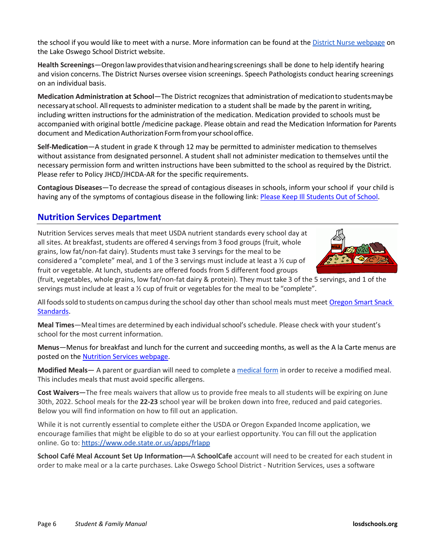the school if you would like to meet with a nurse. More information can be found at the [District Nurse webpage](https://www.losdschools.org/Page/1945) on the Lake Oswego School District website.

**Health Screenings**—Oregonlawprovidesthatvisionandhearingscreenings shall be done to help identify hearing and vision concerns. The District Nurses oversee vision screenings. Speech Pathologists conduct hearing screenings on an individual basis.

**Medication Administration at School**—The District recognizes that administration of medicationto studentsmaybe necessaryatschool. Allrequests to administer medication to a student shall be made by the parent in writing, including written instructions for the administration of the medication. Medication provided to schools must be accompanied with original bottle /medicine package. Please obtain and read the Medication Information for Parents document and Medication Authorization Form from your school office.

**Self-Medication**—A student in grade K through 12 may be permitted to administer medication to themselves without assistance from designated personnel. A student shall not administer medication to themselves until the necessary permission form and written instructions have been submitted to the school as required by the District. Please refer to Policy JHCD/JHCDA-AR for the specific requirements.

**Contagious Diseases**—To decrease the spread of contagious diseases in schools, inform your school if your child is having any of the symptoms of contagious disease in the following link: Please [Keep Ill Students Out of School.](https://drive.google.com/file/d/1GOM0RveLtD78njH1inzmlGcWw41dEkCE/view?usp=sharing)

# <span id="page-9-0"></span>**Nutrition Services Department**

Nutrition Services serves meals that meet USDA nutrient standards every school day at all sites. At breakfast, students are offered 4 servings from 3 food groups (fruit, whole grains, low fat/non-fat dairy). Students must take 3 servings for the meal to be considered a "complete" meal, and 1 of the 3 servings must include at least a  $\frac{1}{2}$  cup of fruit or vegetable. At lunch, students are offered foods from 5 different food groups



(fruit, vegetables, whole grains, low fat/non-fat dairy & protein). They must take 3 of the 5 servings, and 1 of the servings must include at least a ½ cup of fruit or vegetables for the meal to be "complete".

All foods sold to students on campus during the school day other than school meals must meet Oregon Smart Snack [Standards.](https://www.ode.state.or.us/wma/nutrition/snp/oregon-smart-snack-3-28-14-for-web-rev-06-12-2014.pdf)

**Meal Times**—Mealtimes are determined by each individualschool's schedule. Please check with your student's school for the most current information.

**Menus**—Menus for breakfast and lunch for the current and succeeding months, as well as the A la Carte menus are posted on the Nutrition [Services webpage.](https://www.losdschools.org/domain/57)

**Modified Meals**— A parent or guardian will need to complete a [medical form](https://drive.google.com/file/d/1JJhZRRxvfrTSIFVQHeJCjc0vD_Cciehc/view?usp=sharing) in order to receive a modified meal. This includes meals that must avoid specific allergens.

**Cost Waivers**—The free meals waivers that allow us to provide free meals to all students will be expiring on June 30th, 2022. School meals for the **22-23** school year will be broken down into free, reduced and paid categories. Below you will find information on how to fill out an application.

While it is not currently essential to complete either the USDA or Oregon Expanded Income application, we encourage families that might be eligible to do so at your earliest opportunity. You can fill out the application online. Go to: <https://www.ode.state.or.us/apps/frlapp>

**School Café Meal Account Set Up Information**—A **SchoolCafe** account will need to be created for each student in order to make meal or a la carte purchases. Lake Oswego School District - Nutrition Services, uses a software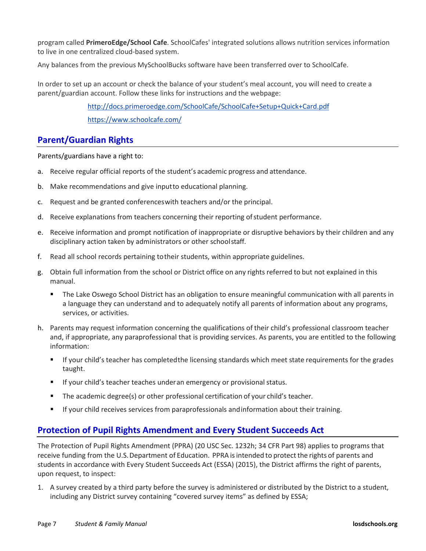program called **PrimeroEdge/School Cafe**. SchoolCafes' integrated solutions allows nutrition services information to live in one centralized cloud-based system.

Any balances from the previous MySchoolBucks software have been transferred over to SchoolCafe.

In order to set up an account or check the balance of your student's meal account, you will need to create a parent/guardian account. Follow these links for instructions and the webpage:

> <http://docs.primeroedge.com/SchoolCafe/SchoolCafe+Setup+Quick+Card.pdf> <https://www.schoolcafe.com/>

#### <span id="page-10-0"></span>**Parent/Guardian Rights**

Parents/guardians have a right to:

- a. Receive regular official reports of the student's academic progress and attendance.
- b. Make recommendations and give inputto educational planning.
- c. Request and be granted conferenceswith teachers and/or the principal.
- d. Receive explanations from teachers concerning their reporting ofstudent performance.
- e. Receive information and prompt notification of inappropriate or disruptive behaviors by their children and any disciplinary action taken by administrators or other schoolstaff.
- f. Read all school records pertaining totheir students, within appropriate guidelines.
- g. Obtain full information from the school or District office on any rights referred to but not explained in this manual.
	- The Lake Oswego School District has an obligation to ensure meaningful communication with all parents in a language they can understand and to adequately notify all parents of information about any programs, services, or activities.
- h. Parents may request information concerning the qualifications of their child's professional classroom teacher and, if appropriate, any paraprofessional that is providing services. As parents, you are entitled to the following information:
	- If your child's teacher has completedthe licensing standards which meet state requirements for the grades taught.
	- **If your child's teacher teaches underan emergency or provisional status.**
	- The academic degree(s) or other professional certification of your child's teacher.
	- If your child receives services from paraprofessionals andinformation about their training.

#### <span id="page-10-1"></span>**Protection of Pupil Rights Amendment and Every Student Succeeds Act**

The Protection of Pupil Rights Amendment (PPRA) (20 USC Sec. 1232h; 34 CFR Part 98) applies to programs that receive funding from the U.S. Department of Education. PPRA is intended to protect the rights of parents and students in accordance with Every Student Succeeds Act (ESSA) (2015), the District affirms the right of parents, upon request, to inspect:

1. A survey created by a third party before the survey is administered or distributed by the District to a student, including any District survey containing "covered survey items" as defined by ESSA;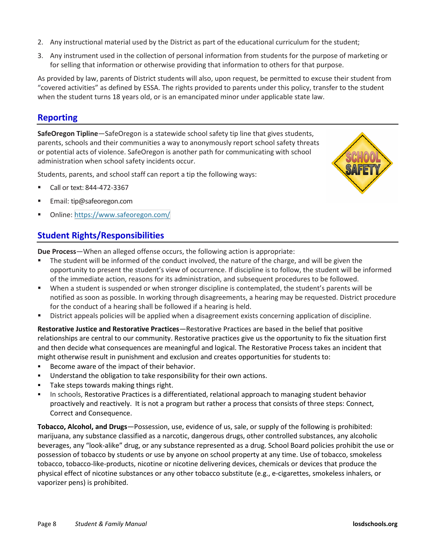- 2. Any instructional material used by the District as part of the educational curriculum for the student;
- 3. Any instrument used in the collection of personal information from students for the purpose of marketing or for selling that information or otherwise providing that information to others for that purpose.

As provided by law, parents of District students will also, upon request, be permitted to excuse their student from "covered activities" as defined by ESSA. The rights provided to parents under this policy, transfer to the student when the student turns 18 years old, or is an emancipated minor under applicable state law.

# <span id="page-11-0"></span>**Reporting**

**SafeOregon Tipline**—SafeOregon is a statewide school safety tip line that gives students, parents, schools and their communities a way to anonymously report school safety threats or potential acts of violence. SafeOregon is another path for communicating with school administration when school safety incidents occur.

Students, parents, and school staff can report a tip the following ways:

- Call or text: 844-472-3367
- Email: [tip@safeoregon.com](mailto:tip@safeoregon.com)
- <span id="page-11-1"></span>Online:<https://www.safeoregon.com/>

# **Student Rights/Responsibilities**

**Due Process**—When an alleged offense occurs, the following action is appropriate:

- The student will be informed of the conduct involved, the nature of the charge, and will be given the opportunity to present the student's view of occurrence. If discipline is to follow, the student will be informed of the immediate action, reasons for its administration, and subsequent procedures to be followed.
- When a student is suspended or when stronger discipline is contemplated, the student's parents will be notified as soon as possible. In working through disagreements, a hearing may be requested. District procedure for the conduct of a hearing shall be followed if a hearing is held.
- District appeals policies will be applied when a disagreement exists concerning application of discipline.

**Restorative Justice and Restorative Practices**—Restorative Practices are based in the belief that positive relationships are central to our community. Restorative practices give us the opportunity to fix the situation first and then decide what consequences are meaningful and logical. The Restorative Process takes an incident that might otherwise result in punishment and exclusion and creates opportunities for students to:

- Become aware of the impact of their behavior.
- Understand the obligation to take responsibility for their own actions.
- Take steps towards making things right.
- In schools, Restorative Practices is a differentiated, relational approach to managing student behavior proactively and reactively. It is not a program but rather a process that consists of three steps: Connect, Correct and Consequence.

**Tobacco, Alcohol, and Drugs**—Possession, use, evidence of us, sale, or supply of the following is prohibited: marijuana, any substance classified as a narcotic, dangerous drugs, other controlled substances, any alcoholic beverages, any "look-alike" drug, or any substance represented as a drug. School Board policies prohibit the use or possession of tobacco by students or use by anyone on school property at any time. Use of tobacco, smokeless tobacco, tobacco-like-products, nicotine or nicotine delivering devices, chemicals or devices that produce the physical effect of nicotine substances or any other tobacco substitute (e.g., e-cigarettes, smokeless inhalers, or vaporizer pens) is prohibited.

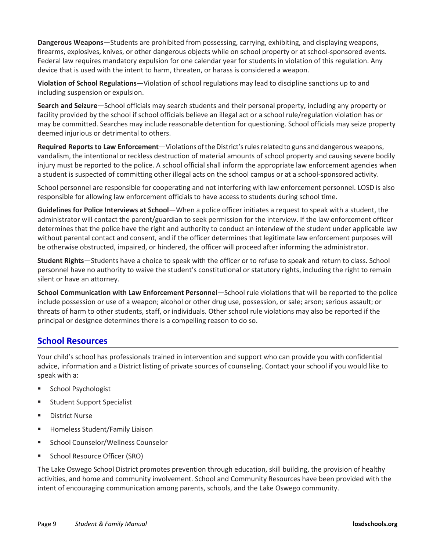**Dangerous Weapons**—Students are prohibited from possessing, carrying, exhibiting, and displaying weapons, firearms, explosives, knives, or other dangerous objects while on school property or at school-sponsored events. Federal law requires mandatory expulsion for one calendar year for students in violation of this regulation. Any device that is used with the intent to harm, threaten, or harass is considered a weapon.

**Violation of School Regulations**—Violation of school regulations may lead to discipline sanctions up to and including suspension or expulsion.

**Search and Seizure**—School officials may search students and their personal property, including any property or facility provided by the school if school officials believe an illegal act or a school rule/regulation violation has or may be committed. Searches may include reasonable detention for questioning. School officials may seize property deemed injurious or detrimental to others.

**Required Reports to Law Enforcement**—Violations of the District's rules related to guns and dangerous weapons, vandalism, the intentional or reckless destruction of material amounts of school property and causing severe bodily injury must be reported to the police. A school official shall inform the appropriate law enforcement agencies when a student is suspected of committing other illegal acts on the school campus or at a school-sponsored activity.

School personnel are responsible for cooperating and not interfering with law enforcement personnel. LOSD is also responsible for allowing law enforcement officials to have access to students during school time.

**Guidelines for Police Interviews at School**—When a police officer initiates a request to speak with a student, the administrator will contact the parent/guardian to seek permission for the interview. If the law enforcement officer determines that the police have the right and authority to conduct an interview of the student under applicable law without parental contact and consent, and if the officer determines that legitimate law enforcement purposes will be otherwise obstructed, impaired, or hindered, the officer will proceed after informing the administrator.

**Student Rights**—Students have a choice to speak with the officer or to refuse to speak and return to class. School personnel have no authority to waive the student's constitutional or statutory rights, including the right to remain silent or have an attorney.

**School Communication with Law Enforcement Personnel**—School rule violations that will be reported to the police include possession or use of a weapon; alcohol or other drug use, possession, or sale; arson; serious assault; or threats of harm to other students, staff, or individuals. Other school rule violations may also be reported if the principal or designee determines there is a compelling reason to do so.

#### <span id="page-12-0"></span>**School Resources**

Your child's school has professionals trained in intervention and support who can provide you with confidential advice, information and a District listing of private sources of counseling. Contact your school if you would like to speak with a:

- School Psychologist
- Student Support Specialist
- District Nurse
- **Homeless Student/Family Liaison**
- School Counselor/Wellness Counselor
- School Resource Officer (SRO)

<span id="page-12-1"></span>The Lake Oswego School District promotes prevention through education, skill building, the provision of healthy activities, and home and community involvement. School and Community Resources have been provided with the intent of encouraging communication among parents, schools, and the Lake Oswego community.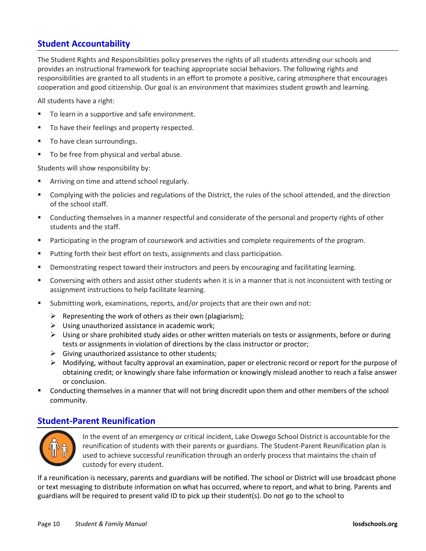### **Student Accountability**

The Student Rights and Responsibilities policy preserves the rights of all students attending our schools and provides an instructional framework for teaching appropriate social behaviors. The following rights and responsibilities are granted to all students in an effort to promote a positive, caring atmosphere that encourages cooperation and good citizenship. Our goal is an environment that maximizes student growth and learning.

All students have a right:

- To learn in a supportive and safe environment.
- To have their feelings and property respected.
- To have clean surroundings.
- To be free from physical and verbal abuse.

Students will show responsibility by:

- Arriving on time and attend school regularly.
- Complying with the policies and regulations of the District, the rules of the school attended, and the direction of the school staff.
- Conducting themselves in a manner respectful and considerate of the personal and property rights of other students and the staff.
- **Participating in the program of coursework and activities and complete requirements of the program.**
- Putting forth their best effort on tests, assignments and class participation.
- **Phonomal Exercice 2** Demonstrating respect toward their instructors and peers by encouraging and facilitating learning.
- Conversing with others and assist other students when it is in a manner that is not inconsistent with testing or assignment instructions to help facilitate learning.
- Submitting work, examinations, reports, and/or projects that are their own and not:
	- $\triangleright$  Representing the work of others as their own (plagiarism);
	- $\triangleright$  Using unauthorized assistance in academic work;
	- $\triangleright$  Using or share prohibited study aides or other written materials on tests or assignments, before or during tests or assignments in violation of directions by the class instructor or proctor;
	- $\triangleright$  Giving unauthorized assistance to other students;
	- $\triangleright$  Modifying, without faculty approval an examination, paper or electronic record or report for the purpose of obtaining credit; or knowingly share false information or knowingly mislead another to reach a false answer or conclusion.
- Conducting themselves in a manner that will not bring discredit upon them and other members of the school community.

#### <span id="page-13-0"></span>**Student-Parent Reunification**



In the event of an emergency or critical incident, Lake Oswego School District is accountable forthe reunification of students with their parents or guardians. The Student-Parent Reunification plan is used to achieve successful reunification through an orderly process that maintains the chain of custody for every student.

If a reunification is necessary, parents and guardians will be notified. The school or District will use broadcast phone or text messaging to distribute information on what has occurred, where to report, and what to bring. Parents and guardians will be required to present valid ID to pick up their student(s). Do not go to the school to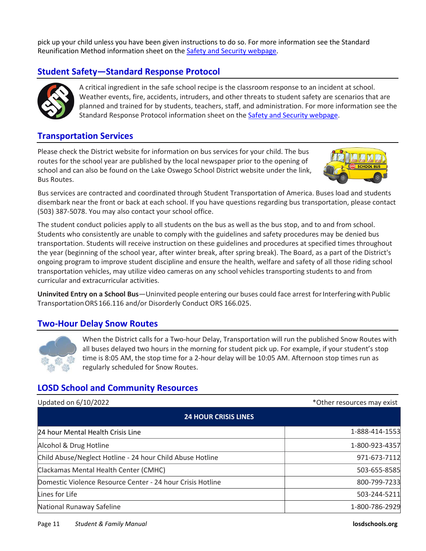pick up your child unless you have been given instructions to do so. For more information see the Standard Reunification Method information sheet on the [Safety and Security webpage.](https://www.losdschools.org/Page/7314)

# <span id="page-14-0"></span>**Student Safety—Standard Response Protocol**



A critical ingredient in the safe school recipe is the classroom response to an incident at school. Weather events, fire, accidents, intruders, and other threats to student safety are scenarios that are planned and trained for by students, teachers, staff, and administration. For more information see the Standard Response Protocol information sheet on the [Safety and Security webpage.](https://www.losdschools.org/Page/5009)

#### <span id="page-14-1"></span>**Transportation Services**

Please check the District website for information on bus services for your child. The bus routes for the school year are published by the local newspaper prior to the opening of school and can also be found on the Lake Oswego School District website under the link, Bus Routes.



Bus services are contracted and coordinated through Student Transportation of America. Buses load and students disembark near the front or back at each school. If you have questions regarding bus transportation, please contact (503) 387-5078. You may also contact your school office.

The student conduct policies apply to all students on the bus as well as the bus stop, and to and from school. Students who consistently are unable to comply with the guidelines and safety procedures may be denied bus transportation. Students will receive instruction on these guidelines and procedures at specified times throughout the year (beginning of the school year, after winter break, after spring break). The Board, as a part of the District's ongoing program to improve student discipline and ensure the health, welfare and safety of all those riding school transportation vehicles, may utilize video cameras on any school vehicles transporting students to and from curricular and extracurricular activities.

**Uninvited Entry on a School Bus**—Uninvited people entering our buses could face arrest for Interfering with Public TransportationORS 166.116 and/or Disorderly Conduct ORS 166.025.

#### <span id="page-14-2"></span>**Two-Hour Delay Snow Routes**



When the District calls for a Two-hour Delay, Transportation will run the published Snow Routes with all buses delayed two hours in the morning for student pick up. For example, if your student's stop time is 8:05 AM, the stop time for a 2-hour delay will be 10:05 AM. Afternoon stop times run as regularly scheduled for Snow Routes.

#### <span id="page-14-3"></span>**LOSD School and Community Resources**

| Updated on 6/10/2022                                       | *Other resources may exist |  |
|------------------------------------------------------------|----------------------------|--|
| <b>24 HOUR CRISIS LINES</b>                                |                            |  |
| 24 hour Mental Health Crisis Line                          | 1-888-414-1553             |  |
| Alcohol & Drug Hotline                                     | 1-800-923-4357             |  |
| Child Abuse/Neglect Hotline - 24 hour Child Abuse Hotline  | 971-673-7112               |  |
| Clackamas Mental Health Center (CMHC)                      | 503-655-8585               |  |
| Domestic Violence Resource Center - 24 hour Crisis Hotline | 800-799-7233               |  |
| Lines for Life                                             | 503-244-5211               |  |
| National Runaway Safeline                                  | 1-800-786-2929             |  |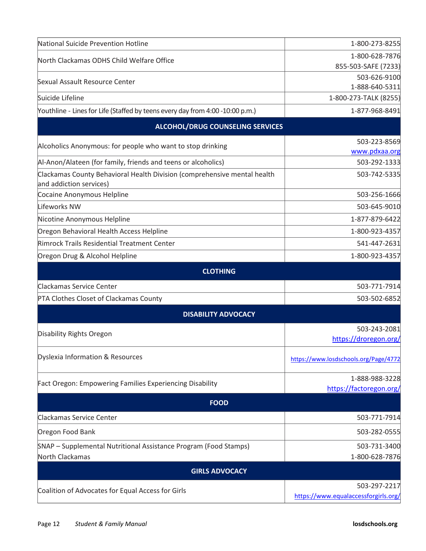| National Suicide Prevention Hotline                                                                 | 1-800-273-8255                          |  |  |  |
|-----------------------------------------------------------------------------------------------------|-----------------------------------------|--|--|--|
| North Clackamas ODHS Child Welfare Office                                                           | 1-800-628-7876                          |  |  |  |
|                                                                                                     | 855-503-SAFE (7233)                     |  |  |  |
| Sexual Assault Resource Center                                                                      | 503-626-9100                            |  |  |  |
| Suicide Lifeline                                                                                    | 1-888-640-5311<br>1-800-273-TALK (8255) |  |  |  |
| Youthline - Lines for Life (Staffed by teens every day from 4:00 -10:00 p.m.)                       | 1-877-968-8491                          |  |  |  |
|                                                                                                     |                                         |  |  |  |
| <b>ALCOHOL/DRUG COUNSELING SERVICES</b>                                                             |                                         |  |  |  |
| Alcoholics Anonymous: for people who want to stop drinking                                          | 503-223-8569                            |  |  |  |
|                                                                                                     | www.pdxaa.org<br>503-292-1333           |  |  |  |
| Al-Anon/Alateen (for family, friends and teens or alcoholics)                                       |                                         |  |  |  |
| Clackamas County Behavioral Health Division (comprehensive mental health<br>and addiction services) | 503-742-5335                            |  |  |  |
| Cocaine Anonymous Helpline                                                                          | 503-256-1666                            |  |  |  |
| Lifeworks NW                                                                                        | 503-645-9010                            |  |  |  |
| Nicotine Anonymous Helpline                                                                         | 1-877-879-6422                          |  |  |  |
| Oregon Behavioral Health Access Helpline                                                            | 1-800-923-4357                          |  |  |  |
| Rimrock Trails Residential Treatment Center                                                         | 541-447-2631                            |  |  |  |
| Oregon Drug & Alcohol Helpline                                                                      | 1-800-923-4357                          |  |  |  |
| <b>CLOTHING</b>                                                                                     |                                         |  |  |  |
| Clackamas Service Center                                                                            | 503-771-7914                            |  |  |  |
| PTA Clothes Closet of Clackamas County                                                              | 503-502-6852                            |  |  |  |
| <b>DISABILITY ADVOCACY</b>                                                                          |                                         |  |  |  |
|                                                                                                     | 503-243-2081                            |  |  |  |
| Disability Rights Oregon                                                                            | https://droregon.org/                   |  |  |  |
| Dyslexia Information & Resources                                                                    | https://www.losdschools.org/Page/4772   |  |  |  |
| Fact Oregon: Empowering Families Experiencing Disability                                            | 1-888-988-3228                          |  |  |  |
|                                                                                                     | https://factoregon.org/                 |  |  |  |
| <b>FOOD</b>                                                                                         |                                         |  |  |  |
| Clackamas Service Center                                                                            | 503-771-7914                            |  |  |  |
| Oregon Food Bank                                                                                    | 503-282-0555                            |  |  |  |
| SNAP - Supplemental Nutritional Assistance Program (Food Stamps)                                    | 503-731-3400                            |  |  |  |
| North Clackamas                                                                                     | 1-800-628-7876                          |  |  |  |
| <b>GIRLS ADVOCACY</b>                                                                               |                                         |  |  |  |
| Coalition of Advocates for Equal Access for Girls                                                   | 503-297-2217                            |  |  |  |
|                                                                                                     | https://www.equalaccessforgirls.org/    |  |  |  |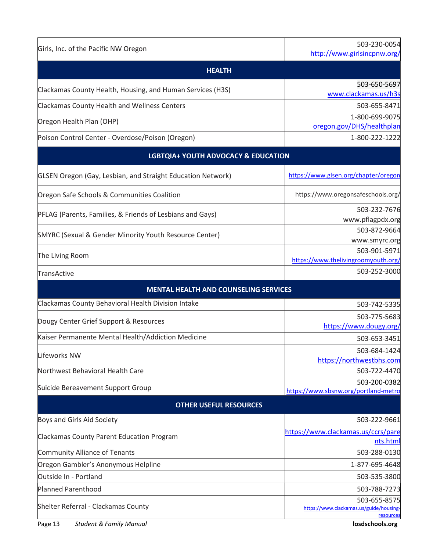| Girls, Inc. of the Pacific NW Oregon                        | 503-230-0054<br>http://www.girlsincpnw.org/         |  |  |  |
|-------------------------------------------------------------|-----------------------------------------------------|--|--|--|
| <b>HEALTH</b>                                               |                                                     |  |  |  |
|                                                             | 503-650-5697                                        |  |  |  |
| Clackamas County Health, Housing, and Human Services (H3S)  | www.clackamas.us/h3s                                |  |  |  |
| Clackamas County Health and Wellness Centers                | 503-655-8471                                        |  |  |  |
| Oregon Health Plan (OHP)                                    | 1-800-699-9075                                      |  |  |  |
| Poison Control Center - Overdose/Poison (Oregon)            | oregon.gov/DHS/healthplan<br>1-800-222-1222         |  |  |  |
|                                                             |                                                     |  |  |  |
| <b>LGBTQIA+ YOUTH ADVOCACY &amp; EDUCATION</b>              |                                                     |  |  |  |
| GLSEN Oregon (Gay, Lesbian, and Straight Education Network) | https://www.glsen.org/chapter/oregon                |  |  |  |
| Oregon Safe Schools & Communities Coalition                 | https://www.oregonsafeschools.org/                  |  |  |  |
| PFLAG (Parents, Families, & Friends of Lesbians and Gays)   | 503-232-7676                                        |  |  |  |
|                                                             | www.pflagpdx.org                                    |  |  |  |
| SMYRC (Sexual & Gender Minority Youth Resource Center)      | 503-872-9664<br>www.smyrc.org                       |  |  |  |
|                                                             | 503-901-5971                                        |  |  |  |
| The Living Room                                             | https://www.thelivingroomyouth.org/                 |  |  |  |
| TransActive                                                 | 503-252-3000                                        |  |  |  |
| <b>MENTAL HEALTH AND COUNSELING SERVICES</b>                |                                                     |  |  |  |
| Clackamas County Behavioral Health Division Intake          | 503-742-5335                                        |  |  |  |
| Dougy Center Grief Support & Resources                      | 503-775-5683                                        |  |  |  |
|                                                             | https://www.dougy.org/                              |  |  |  |
| Kaiser Permanente Mental Health/Addiction Medicine          | 503-653-3451                                        |  |  |  |
| Lifeworks NW                                                | 503-684-1424                                        |  |  |  |
|                                                             | https://northwestbhs.com                            |  |  |  |
| Northwest Behavioral Health Care                            | 503-722-4470<br>503-200-0382                        |  |  |  |
| Suicide Bereavement Support Group                           | https://www.sbsnw.org/portland-metro                |  |  |  |
| <b>OTHER USEFUL RESOURCES</b>                               |                                                     |  |  |  |
| Boys and Girls Aid Society                                  | 503-222-9661                                        |  |  |  |
| <b>Clackamas County Parent Education Program</b>            | https://www.clackamas.us/ccrs/pare<br>nts.html      |  |  |  |
| Community Alliance of Tenants                               | 503-288-0130                                        |  |  |  |
| Oregon Gambler's Anonymous Helpline                         | 1-877-695-4648                                      |  |  |  |
| Outside In - Portland                                       | 503-535-3800                                        |  |  |  |
| <b>Planned Parenthood</b>                                   | 503-788-7273                                        |  |  |  |
|                                                             | 503-655-8575                                        |  |  |  |
| Shelter Referral - Clackamas County                         | https://www.clackamas.us/guide/housing<br>resources |  |  |  |
|                                                             |                                                     |  |  |  |